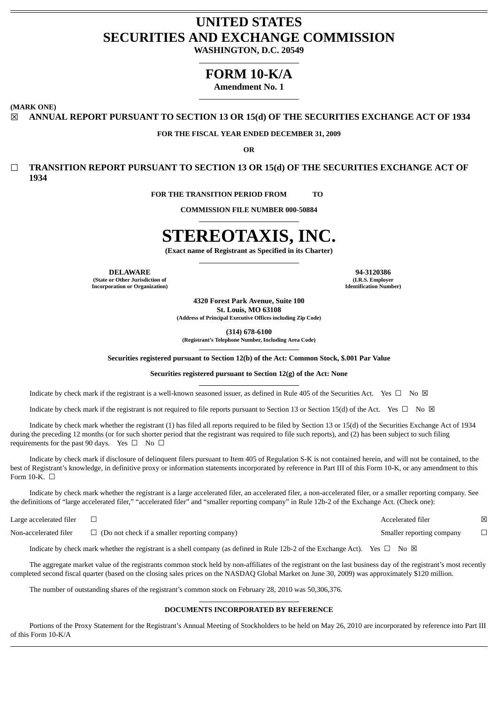# **UNITED STATES SECURITIES AND EXCHANGE COMMISSION**

**WASHINGTON, D.C. 20549**

## **FORM 10-K/A**

**Amendment No. 1**

**(MARK ONE)**

☒ **ANNUAL REPORT PURSUANT TO SECTION 13 OR 15(d) OF THE SECURITIES EXCHANGE ACT OF 1934**

## **FOR THE FISCAL YEAR ENDED DECEMBER 31, 2009**

**OR**

☐ **TRANSITION REPORT PURSUANT TO SECTION 13 OR 15(d) OF THE SECURITIES EXCHANGE ACT OF 1934**

**FOR THE TRANSITION PERIOD FROM TO** 

**COMMISSION FILE NUMBER 000-50884**

# **STEREOTAXIS, INC.**

**(Exact name of Registrant as Specified in its Charter)**

**(State or Other Jurisdiction of Incorporation or Organization)**

**DELAWARE 94-3120386 (I.R.S. Employer Identification Number)**

> **4320 Forest Park Avenue, Suite 100 St. Louis, MO 63108 (Address of Principal Executive Offices including Zip Code)**

> > **(314) 678-6100**

**(Registrant's Telephone Number, Including Area Code)**

**Securities registered pursuant to Section 12(b) of the Act: Common Stock, \$.001 Par Value**

## **Securities registered pursuant to Section 12(g) of the Act: None**

Indicate by check mark if the registrant is a well-known seasoned issuer, as defined in Rule 405 of the Securities Act. Yes  $\Box$  No  $\boxtimes$ 

Indicate by check mark if the registrant is not required to file reports pursuant to Section 13 or Section 15(d) of the Act. Yes  $\Box$  No  $\boxtimes$ 

Indicate by check mark whether the registrant (1) has filed all reports required to be filed by Section 13 or 15(d) of the Securities Exchange Act of 1934 during the preceding 12 months (or for such shorter period that the registrant was required to file such reports), and (2) has been subject to such filing requirements for the past 90 days. Yes  $\Box$  No  $\Box$ 

Indicate by check mark if disclosure of delinquent filers pursuant to Item 405 of Regulation S-K is not contained herein, and will not be contained, to the best of Registrant's knowledge, in definitive proxy or information statements incorporated by reference in Part III of this Form 10-K, or any amendment to this Form 10-K.  $\Box$ 

Indicate by check mark whether the registrant is a large accelerated filer, an accelerated filer, a non-accelerated filer, or a smaller reporting company. See the definitions of "large accelerated filer," "accelerated filer" and "smaller reporting company" in Rule 12b-2 of the Exchange Act. (Check one):

Large accelerated filer □  $□$ 

Non-accelerated filer □ (Do not check if a smaller reporting company) Smaller reporting company □

Indicate by check mark whether the registrant is a shell company (as defined in Rule 12b-2 of the Exchange Act). Yes  $\Box$  No  $\boxtimes$ 

The aggregate market value of the registrants common stock held by non-affiliates of the registrant on the last business day of the registrant's most recently completed second fiscal quarter (based on the closing sales prices on the NASDAQ Global Market on June 30, 2009) was approximately \$120 million.

The number of outstanding shares of the registrant's common stock on February 28, 2010 was 50,306,376.

## **DOCUMENTS INCORPORATED BY REFERENCE**

Portions of the Proxy Statement for the Registrant's Annual Meeting of Stockholders to be held on May 26, 2010 are incorporated by reference into Part III of this Form 10-K/A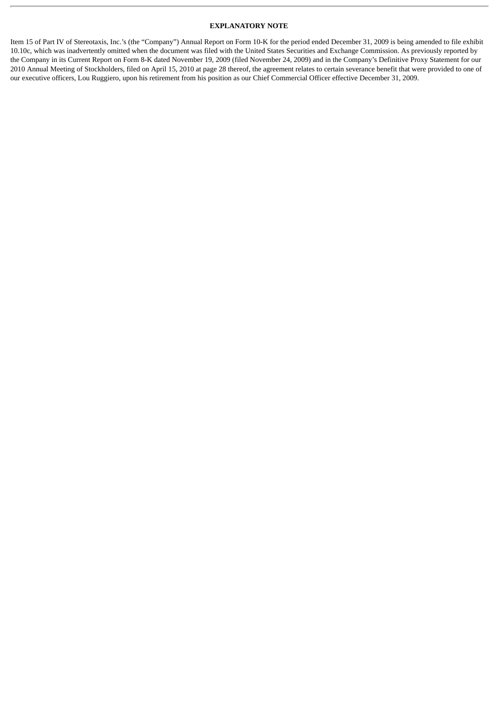## **EXPLANATORY NOTE**

Item 15 of Part IV of Stereotaxis, Inc.'s (the "Company") Annual Report on Form 10-K for the period ended December 31, 2009 is being amended to file exhibit 10.10c, which was inadvertently omitted when the document was filed with the United States Securities and Exchange Commission. As previously reported by the Company in its Current Report on Form 8-K dated November 19, 2009 (filed November 24, 2009) and in the Company's Definitive Proxy Statement for our 2010 Annual Meeting of Stockholders, filed on April 15, 2010 at page 28 thereof, the agreement relates to certain severance benefit that were provided to one of our executive officers, Lou Ruggiero, upon his retirement from his position as our Chief Commercial Officer effective December 31, 2009.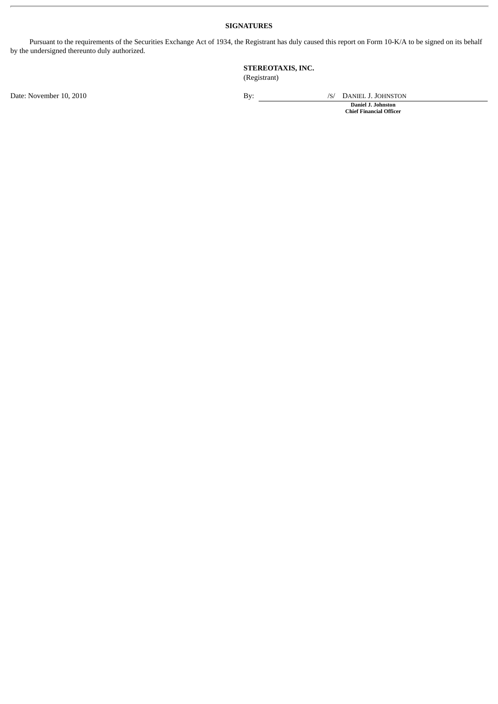## **SIGNATURES**

Pursuant to the requirements of the Securities Exchange Act of 1934, the Registrant has duly caused this report on Form 10-K/A to be signed on its behalf by the undersigned thereunto duly authorized.

## **STEREOTAXIS, INC.** (Registrant)

Date: November 10, 2010 By: /S/ DANIEL J. JOHNSTON

**Daniel J. Johnston Chief Financial Officer**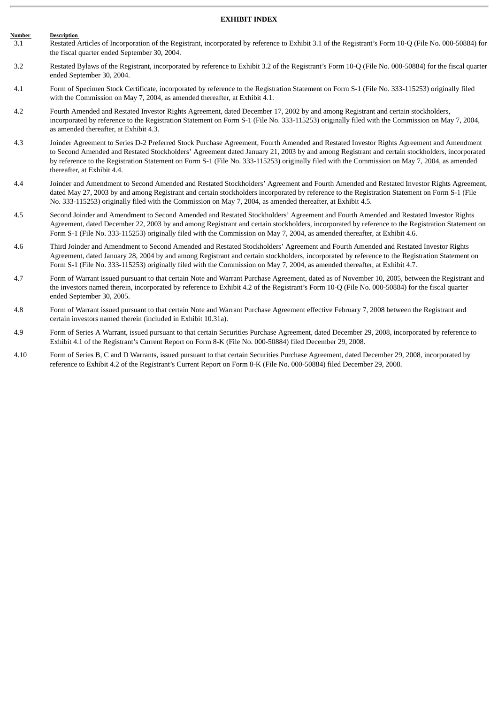#### **EXHIBIT INDEX**

- **Description**  $\frac{\text{Number}}{3.1}$ Restated Articles of Incorporation of the Registrant, incorporated by reference to Exhibit 3.1 of the Registrant's Form 10-Q (File No. 000-50884) for the fiscal quarter ended September 30, 2004.
- 3.2 Restated Bylaws of the Registrant, incorporated by reference to Exhibit 3.2 of the Registrant's Form 10-Q (File No. 000-50884) for the fiscal quarter ended September 30, 2004.
- 4.1 Form of Specimen Stock Certificate, incorporated by reference to the Registration Statement on Form S-1 (File No. 333-115253) originally filed with the Commission on May 7, 2004, as amended thereafter, at Exhibit 4.1.
- 4.2 Fourth Amended and Restated Investor Rights Agreement, dated December 17, 2002 by and among Registrant and certain stockholders, incorporated by reference to the Registration Statement on Form S-1 (File No. 333-115253) originally filed with the Commission on May 7, 2004, as amended thereafter, at Exhibit 4.3.
- 4.3 Joinder Agreement to Series D-2 Preferred Stock Purchase Agreement, Fourth Amended and Restated Investor Rights Agreement and Amendment to Second Amended and Restated Stockholders' Agreement dated January 21, 2003 by and among Registrant and certain stockholders, incorporated by reference to the Registration Statement on Form S-1 (File No. 333-115253) originally filed with the Commission on May 7, 2004, as amended thereafter, at Exhibit 4.4.
- 4.4 Joinder and Amendment to Second Amended and Restated Stockholders' Agreement and Fourth Amended and Restated Investor Rights Agreement, dated May 27, 2003 by and among Registrant and certain stockholders incorporated by reference to the Registration Statement on Form S-1 (File No. 333-115253) originally filed with the Commission on May 7, 2004, as amended thereafter, at Exhibit 4.5.
- 4.5 Second Joinder and Amendment to Second Amended and Restated Stockholders' Agreement and Fourth Amended and Restated Investor Rights Agreement, dated December 22, 2003 by and among Registrant and certain stockholders, incorporated by reference to the Registration Statement on Form S-1 (File No. 333-115253) originally filed with the Commission on May 7, 2004, as amended thereafter, at Exhibit 4.6.
- 4.6 Third Joinder and Amendment to Second Amended and Restated Stockholders' Agreement and Fourth Amended and Restated Investor Rights Agreement, dated January 28, 2004 by and among Registrant and certain stockholders, incorporated by reference to the Registration Statement on Form S-1 (File No. 333-115253) originally filed with the Commission on May 7, 2004, as amended thereafter, at Exhibit 4.7.
- 4.7 Form of Warrant issued pursuant to that certain Note and Warrant Purchase Agreement, dated as of November 10, 2005, between the Registrant and the investors named therein, incorporated by reference to Exhibit 4.2 of the Registrant's Form 10-Q (File No. 000-50884) for the fiscal quarter ended September 30, 2005.
- 4.8 Form of Warrant issued pursuant to that certain Note and Warrant Purchase Agreement effective February 7, 2008 between the Registrant and certain investors named therein (included in Exhibit 10.31a).
- 4.9 Form of Series A Warrant, issued pursuant to that certain Securities Purchase Agreement, dated December 29, 2008, incorporated by reference to Exhibit 4.1 of the Registrant's Current Report on Form 8-K (File No. 000-50884) filed December 29, 2008.
- 4.10 Form of Series B, C and D Warrants, issued pursuant to that certain Securities Purchase Agreement, dated December 29, 2008, incorporated by reference to Exhibit 4.2 of the Registrant's Current Report on Form 8-K (File No. 000-50884) filed December 29, 2008.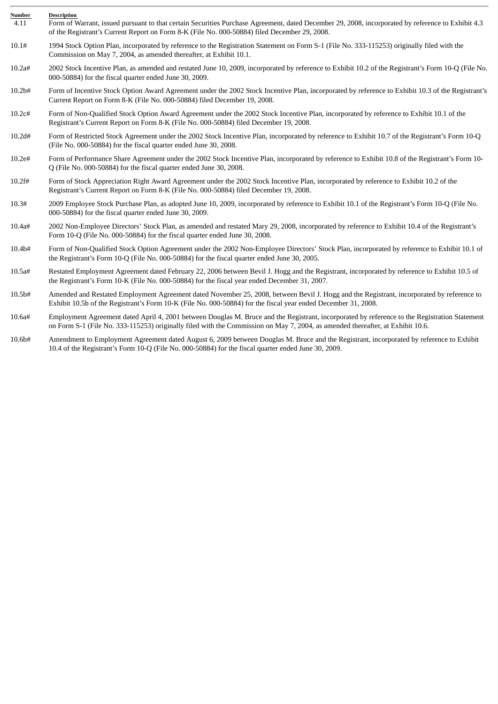| Number<br>4.11     | <b>Description</b><br>Form of Warrant, issued pursuant to that certain Securities Purchase Agreement, dated December 29, 2008, incorporated by reference to Exhibit 4.3<br>of the Registrant's Current Report on Form 8-K (File No. 000-50884) filed December 29, 2008.         |
|--------------------|---------------------------------------------------------------------------------------------------------------------------------------------------------------------------------------------------------------------------------------------------------------------------------|
| 10.1#              | 1994 Stock Option Plan, incorporated by reference to the Registration Statement on Form S-1 (File No. 333-115253) originally filed with the<br>Commission on May 7, 2004, as amended thereafter, at Exhibit 10.1.                                                               |
| 10.2a#             | 2002 Stock Incentive Plan, as amended and restated June 10, 2009, incorporated by reference to Exhibit 10.2 of the Registrant's Form 10-Q (File No.<br>000-50884) for the fiscal quarter ended June 30, 2009.                                                                   |
| 10.2 <sub>b#</sub> | Form of Incentive Stock Option Award Agreement under the 2002 Stock Incentive Plan, incorporated by reference to Exhibit 10.3 of the Registrant's<br>Current Report on Form 8-K (File No. 000-50884) filed December 19, 2008.                                                   |
| 10.2c#             | Form of Non-Qualified Stock Option Award Agreement under the 2002 Stock Incentive Plan, incorporated by reference to Exhibit 10.1 of the<br>Registrant's Current Report on Form 8-K (File No. 000-50884) filed December 19, 2008.                                               |
| 10.2d#             | Form of Restricted Stock Agreement under the 2002 Stock Incentive Plan, incorporated by reference to Exhibit 10.7 of the Registrant's Form 10-Q<br>(File No. 000-50884) for the fiscal quarter ended June 30, 2008.                                                             |
| 10.2e#             | Form of Performance Share Agreement under the 2002 Stock Incentive Plan, incorporated by reference to Exhibit 10.8 of the Registrant's Form 10-<br>Q (File No. 000-50884) for the fiscal quarter ended June 30, 2008.                                                           |
| 10.2f#             | Form of Stock Appreciation Right Award Agreement under the 2002 Stock Incentive Plan, incorporated by reference to Exhibit 10.2 of the<br>Registrant's Current Report on Form 8-K (File No. 000-50884) filed December 19, 2008.                                                 |
| 10.3#              | 2009 Employee Stock Purchase Plan, as adopted June 10, 2009, incorporated by reference to Exhibit 10.1 of the Registrant's Form 10-Q (File No.<br>000-50884) for the fiscal quarter ended June 30, 2009.                                                                        |
| 10.4a#             | 2002 Non-Employee Directors' Stock Plan, as amended and restated Mary 29, 2008, incorporated by reference to Exhibit 10.4 of the Registrant's<br>Form 10-Q (File No. 000-50884) for the fiscal quarter ended June 30, 2008.                                                     |
| 10.4b#             | Form of Non-Qualified Stock Option Agreement under the 2002 Non-Employee Directors' Stock Plan, incorporated by reference to Exhibit 10.1 of<br>the Registrant's Form 10-Q (File No. 000-50884) for the fiscal quarter ended June 30, 2005.                                     |
| 10.5a#             | Restated Employment Agreement dated February 22, 2006 between Bevil J. Hogg and the Registrant, incorporated by reference to Exhibit 10.5 of<br>the Registrant's Form 10-K (File No. 000-50884) for the fiscal year ended December 31, 2007.                                    |
| 10.5b#             | Amended and Restated Employment Agreement dated November 25, 2008, between Bevil J. Hogg and the Registrant, incorporated by reference to<br>Exhibit 10.5b of the Registrant's Form 10-K (File No. 000-50884) for the fiscal year ended December 31, 2008.                      |
| 10.6a#             | Employment Agreement dated April 4, 2001 between Douglas M. Bruce and the Registrant, incorporated by reference to the Registration Statement<br>on Form S-1 (File No. 333-115253) originally filed with the Commission on May 7, 2004, as amended thereafter, at Exhibit 10.6. |
| 10.6b#             | Amendment to Employment Agreement dated August 6, 2009 between Douglas M. Bruce and the Registrant, incorporated by reference to Exhibit<br>10.4 of the Registrant's Form 10-Q (File No. 000-50884) for the fiscal quarter ended June 30, 2009.                                 |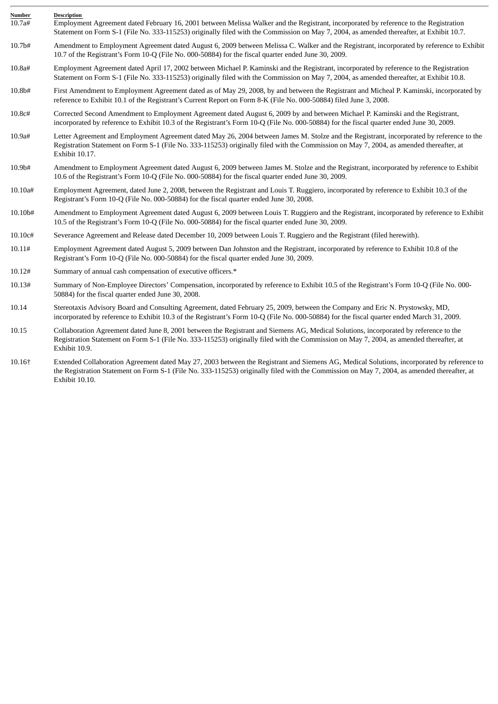| Number   | <b>Description</b>                                                                                                                                                                                                                                                                                     |
|----------|--------------------------------------------------------------------------------------------------------------------------------------------------------------------------------------------------------------------------------------------------------------------------------------------------------|
| 10.7a#   | Employment Agreement dated February 16, 2001 between Melissa Walker and the Registrant, incorporated by reference to the Registration<br>Statement on Form S-1 (File No. 333-115253) originally filed with the Commission on May 7, 2004, as amended thereafter, at Exhibit 10.7.                      |
| 10.7b#   | Amendment to Employment Agreement dated August 6, 2009 between Melissa C. Walker and the Registrant, incorporated by reference to Exhibit<br>10.7 of the Registrant's Form 10-Q (File No. 000-50884) for the fiscal quarter ended June 30, 2009.                                                       |
| 10.8a#   | Employment Agreement dated April 17, 2002 between Michael P. Kaminski and the Registrant, incorporated by reference to the Registration<br>Statement on Form S-1 (File No. 333-115253) originally filed with the Commission on May 7, 2004, as amended thereafter, at Exhibit 10.8.                    |
| 10.8b#   | First Amendment to Employment Agreement dated as of May 29, 2008, by and between the Registrant and Micheal P. Kaminski, incorporated by<br>reference to Exhibit 10.1 of the Registrant's Current Report on Form 8-K (File No. 000-50884) filed June 3, 2008.                                          |
| 10.8c#   | Corrected Second Amendment to Employment Agreement dated August 6, 2009 by and between Michael P. Kaminski and the Registrant,<br>incorporated by reference to Exhibit 10.3 of the Registrant's Form 10-Q (File No. 000-50884) for the fiscal quarter ended June 30, 2009.                             |
| 10.9a#   | Letter Agreement and Employment Agreement dated May 26, 2004 between James M. Stolze and the Registrant, incorporated by reference to the<br>Registration Statement on Form S-1 (File No. 333-115253) originally filed with the Commission on May 7, 2004, as amended thereafter, at<br>Exhibit 10.17. |
| 10.9b#   | Amendment to Employment Agreement dated August 6, 2009 between James M. Stolze and the Registrant, incorporated by reference to Exhibit<br>10.6 of the Registrant's Form 10-Q (File No. 000-50884) for the fiscal quarter ended June 30, 2009.                                                         |
| 10.10a#  | Employment Agreement, dated June 2, 2008, between the Registrant and Louis T. Ruggiero, incorporated by reference to Exhibit 10.3 of the<br>Registrant's Form 10-Q (File No. 000-50884) for the fiscal quarter ended June 30, 2008.                                                                    |
| 10.10b#  | Amendment to Employment Agreement dated August 6, 2009 between Louis T. Ruggiero and the Registrant, incorporated by reference to Exhibit<br>10.5 of the Registrant's Form 10-Q (File No. 000-50884) for the fiscal quarter ended June 30, 2009.                                                       |
| 10.10c#  | Severance Agreement and Release dated December 10, 2009 between Louis T. Ruggiero and the Registrant (filed herewith).                                                                                                                                                                                 |
| 10.11#   | Employment Agreement dated August 5, 2009 between Dan Johnston and the Registrant, incorporated by reference to Exhibit 10.8 of the<br>Registrant's Form 10-Q (File No. 000-50884) for the fiscal quarter ended June 30, 2009.                                                                         |
| 10.12#   | Summary of annual cash compensation of executive officers.*                                                                                                                                                                                                                                            |
| 10.13#   | Summary of Non-Employee Directors' Compensation, incorporated by reference to Exhibit 10.5 of the Registrant's Form 10-Q (File No. 000-<br>50884) for the fiscal quarter ended June 30, 2008.                                                                                                          |
| 10.14    | Stereotaxis Advisory Board and Consulting Agreement, dated February 25, 2009, between the Company and Eric N. Prystowsky, MD,<br>incorporated by reference to Exhibit 10.3 of the Registrant's Form 10-Q (File No. 000-50884) for the fiscal quarter ended March 31, 2009.                             |
| 10.15    | Collaboration Agreement dated June 8, 2001 between the Registrant and Siemens AG, Medical Solutions, incorporated by reference to the<br>Registration Statement on Form S-1 (File No. 333-115253) originally filed with the Commission on May 7, 2004, as amended thereafter, at<br>Exhibit 10.9.      |
| $10.16+$ | Extended Collaboration Agreement dated May 27, 2003 between the Registrant and Siemens A.C. Medical Solutions, incorporated by reference to                                                                                                                                                            |

10.16† Extended Collaboration Agreement dated May 27, 2003 between the Registrant and Siemens AG, Medical Solutions, incorporated by reference to the Registration Statement on Form S-1 (File No. 333-115253) originally filed with the Commission on May 7, 2004, as amended thereafter, at Exhibit 10.10.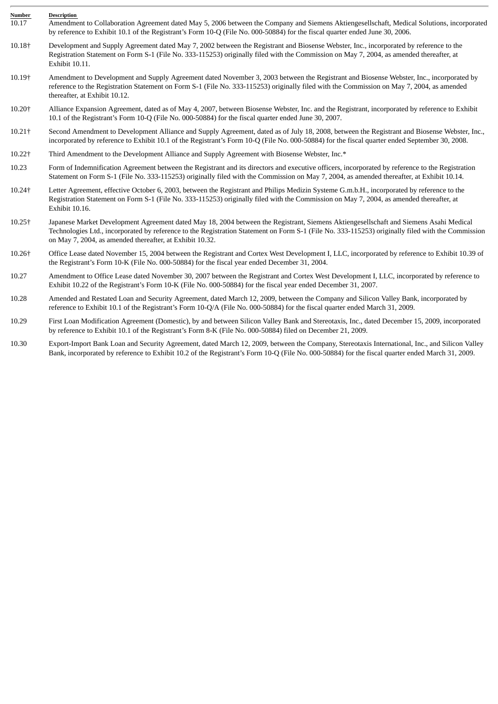| Number | <b>Description</b>                                                                                                                                                                                                                                                                                                                                     |
|--------|--------------------------------------------------------------------------------------------------------------------------------------------------------------------------------------------------------------------------------------------------------------------------------------------------------------------------------------------------------|
| 10.17  | Amendment to Collaboration Agreement dated May 5, 2006 between the Company and Siemens Aktiengesellschaft, Medical Solutions, incorporated<br>by reference to Exhibit 10.1 of the Registrant's Form 10-Q (File No. 000-50884) for the fiscal quarter ended June 30, 2006.                                                                              |
| 10.18+ | Development and Supply Agreement dated May 7, 2002 between the Registrant and Biosense Webster, Inc., incorporated by reference to the<br>Registration Statement on Form S-1 (File No. 333-115253) originally filed with the Commission on May 7, 2004, as amended thereafter, at<br>Exhibit 10.11.                                                    |
| 10.19† | Amendment to Development and Supply Agreement dated November 3, 2003 between the Registrant and Biosense Webster, Inc., incorporated by<br>reference to the Registration Statement on Form S-1 (File No. 333-115253) originally filed with the Commission on May 7, 2004, as amended<br>thereafter, at Exhibit 10.12.                                  |
| 10.20+ | Alliance Expansion Agreement, dated as of May 4, 2007, between Biosense Webster, Inc. and the Registrant, incorporated by reference to Exhibit<br>10.1 of the Registrant's Form 10-Q (File No. 000-50884) for the fiscal quarter ended June 30, 2007.                                                                                                  |
| 10.21† | Second Amendment to Development Alliance and Supply Agreement, dated as of July 18, 2008, between the Registrant and Biosense Webster, Inc.,<br>incorporated by reference to Exhibit 10.1 of the Registrant's Form 10-Q (File No. 000-50884) for the fiscal quarter ended September 30, 2008.                                                          |
| 10.22† | Third Amendment to the Development Alliance and Supply Agreement with Biosense Webster, Inc.*                                                                                                                                                                                                                                                          |
| 10.23  | Form of Indemnification Agreement between the Registrant and its directors and executive officers, incorporated by reference to the Registration<br>Statement on Form S-1 (File No. 333-115253) originally filed with the Commission on May 7, 2004, as amended thereafter, at Exhibit 10.14.                                                          |
| 10.24† | Letter Agreement, effective October 6, 2003, between the Registrant and Philips Medizin Systeme G.m.b.H., incorporated by reference to the<br>Registration Statement on Form S-1 (File No. 333-115253) originally filed with the Commission on May 7, 2004, as amended thereafter, at<br>Exhibit 10.16.                                                |
| 10.25† | Japanese Market Development Agreement dated May 18, 2004 between the Registrant, Siemens Aktiengesellschaft and Siemens Asahi Medical<br>Technologies Ltd., incorporated by reference to the Registration Statement on Form S-1 (File No. 333-115253) originally filed with the Commission<br>on May 7, 2004, as amended thereafter, at Exhibit 10.32. |
| 10.26† | Office Lease dated November 15, 2004 between the Registrant and Cortex West Development I, LLC, incorporated by reference to Exhibit 10.39 of<br>the Registrant's Form 10-K (File No. 000-50884) for the fiscal year ended December 31, 2004.                                                                                                          |
| 10.27  | Amendment to Office Lease dated November 30, 2007 between the Registrant and Cortex West Development I, LLC, incorporated by reference to<br>Exhibit 10.22 of the Registrant's Form 10-K (File No. 000-50884) for the fiscal year ended December 31, 2007.                                                                                             |
| 10.28  | Amended and Restated Loan and Security Agreement, dated March 12, 2009, between the Company and Silicon Valley Bank, incorporated by<br>reference to Exhibit 10.1 of the Registrant's Form 10-Q/A (File No. 000-50884) for the fiscal quarter ended March 31, 2009.                                                                                    |
| 10.29  | First Loan Modification Agreement (Domestic), by and between Silicon Valley Bank and Stereotaxis, Inc., dated December 15, 2009, incorporated<br>by reference to Exhibit 10.1 of the Registrant's Form 8-K (File No. 000-50884) filed on December 21, 2009.                                                                                            |
| 10.30  | Export-Import Bank Loan and Security Agreement, dated March 12, 2009, between the Company, Stereotaxis International, Inc., and Silicon Valley                                                                                                                                                                                                         |

Bank, incorporated by reference to Exhibit 10.2 of the Registrant's Form 10-Q (File No. 000-50884) for the fiscal quarter ended March 31, 2009.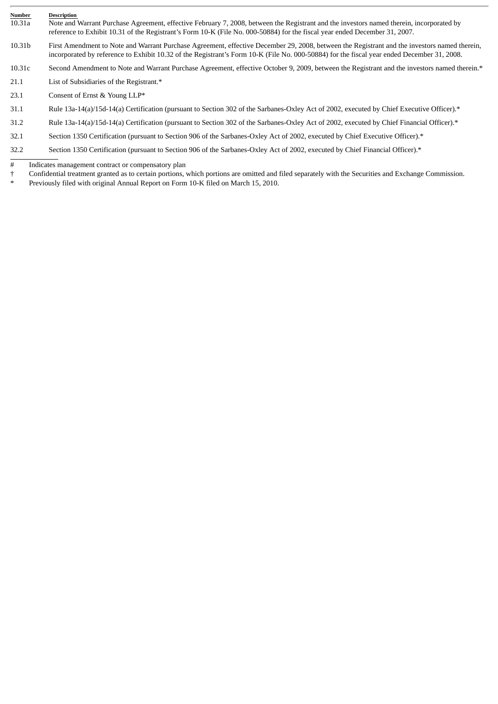| Number<br>10.31a | <b>Description</b><br>Note and Warrant Purchase Agreement, effective February 7, 2008, between the Registrant and the investors named therein, incorporated by<br>reference to Exhibit 10.31 of the Registrant's Form 10-K (File No. 000-50884) for the fiscal year ended December 31, 2007. |
|------------------|----------------------------------------------------------------------------------------------------------------------------------------------------------------------------------------------------------------------------------------------------------------------------------------------|
| 10.31b           | First Amendment to Note and Warrant Purchase Agreement, effective December 29, 2008, between the Registrant and the investors named therein,<br>incorporated by reference to Exhibit 10.32 of the Registrant's Form 10-K (File No. 000-50884) for the fiscal year ended December 31, 2008.   |
| 10.31c           | Second Amendment to Note and Warrant Purchase Agreement, effective October 9, 2009, between the Registrant and the investors named therein.*                                                                                                                                                 |
| 21.1             | List of Subsidiaries of the Registrant.*                                                                                                                                                                                                                                                     |
| 23.1             | Consent of Ernst & Young LLP*                                                                                                                                                                                                                                                                |
| 31.1             | Rule 13a-14(a)/15d-14(a) Certification (pursuant to Section 302 of the Sarbanes-Oxley Act of 2002, executed by Chief Executive Officer).*                                                                                                                                                    |
| 31.2             | Rule 13a-14(a)/15d-14(a) Certification (pursuant to Section 302 of the Sarbanes-Oxley Act of 2002, executed by Chief Financial Officer).*                                                                                                                                                    |
| 32.1             | Section 1350 Certification (pursuant to Section 906 of the Sarbanes-Oxley Act of 2002, executed by Chief Executive Officer).*                                                                                                                                                                |
|                  |                                                                                                                                                                                                                                                                                              |

32.2 Section 1350 Certification (pursuant to Section 906 of the Sarbanes-Oxley Act of 2002, executed by Chief Financial Officer).\*

# Indicates management contract or compensatory plan<br>  $\uparrow$  Confidential treatment granted as to certain portions,<br>  $\uparrow$  Proviewely filed with original Annual Benort on Form † Confidential treatment granted as to certain portions, which portions are omitted and filed separately with the Securities and Exchange Commission.

Previously filed with original Annual Report on Form 10-K filed on March 15, 2010.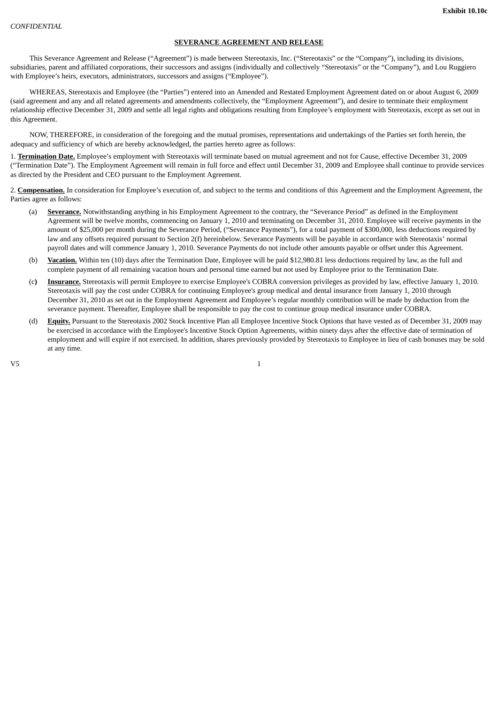This Severance Agreement and Release ("Agreement") is made between Stereotaxis, Inc. ("Stereotaxis" or the "Company"), including its divisions, subsidiaries, parent and affiliated corporations, their successors and assigns (individually and collectively "Stereotaxis" or the "Company"), and Lou Ruggiero with Employee's heirs, executors, administrators, successors and assigns ("Employee").

WHEREAS, Stereotaxis and Employee (the "Parties") entered into an Amended and Restated Employment Agreement dated on or about August 6, 2009 (said agreement and any and all related agreements and amendments collectively, the "Employment Agreement"), and desire to terminate their employment relationship effective December 31, 2009 and settle all legal rights and obligations resulting from Employee's employment with Stereotaxis, except as set out in this Agreement.

NOW, THEREFORE, in consideration of the foregoing and the mutual promises, representations and undertakings of the Parties set forth herein, the adequacy and sufficiency of which are hereby acknowledged, the parties hereto agree as follows:

1. **Termination Date.** Employee's employment with Stereotaxis will terminate based on mutual agreement and not for Cause, effective December 31, 2009 ("Termination Date"). The Employment Agreement will remain in full force and effect until December 31, 2009 and Employee shall continue to provide services as directed by the President and CEO pursuant to the Employment Agreement.

2. **Compensation.** In consideration for Employee's execution of, and subject to the terms and conditions of this Agreement and the Employment Agreement, the Parties agree as follows:

- (a) **Severance.** Notwithstanding anything in his Employment Agreement to the contrary, the "Severance Period" as defined in the Employment Agreement will be twelve months, commencing on January 1, 2010 and terminating on December 31, 2010. Employee will receive payments in the amount of \$25,000 per month during the Severance Period, ("Severance Payments"), for a total payment of \$300,000, less deductions required by law and any offsets required pursuant to Section 2(f) hereinbelow. Severance Payments will be payable in accordance with Stereotaxis' normal payroll dates and will commence January 1, 2010. Severance Payments do not include other amounts payable or offset under this Agreement.
- (b) **Vacation.** Within ten (10) days after the Termination Date, Employee will be paid \$12,980.81 less deductions required by law, as the full and complete payment of all remaining vacation hours and personal time earned but not used by Employee prior to the Termination Date.
- (c**) Insurance.** Stereotaxis will permit Employee to exercise Employee's COBRA conversion privileges as provided by law, effective January 1, 2010. Stereotaxis will pay the cost under COBRA for continuing Employee's group medical and dental insurance from January 1, 2010 through December 31, 2010 as set out in the Employment Agreement and Employee's regular monthly contribution will be made by deduction from the severance payment. Thereafter, Employee shall be responsible to pay the cost to continue group medical insurance under COBRA.
- (d) **Equity.** Pursuant to the Stereotaxis 2002 Stock Incentive Plan all Employee Incentive Stock Options that have vested as of December 31, 2009 may be exercised in accordance with the Employee's Incentive Stock Option Agreements, within ninety days after the effective date of termination of employment and will expire if not exercised. In addition, shares previously provided by Stereotaxis to Employee in lieu of cash bonuses may be sold at any time.

 $V5$  and  $V5$  and  $V5$  and  $V1$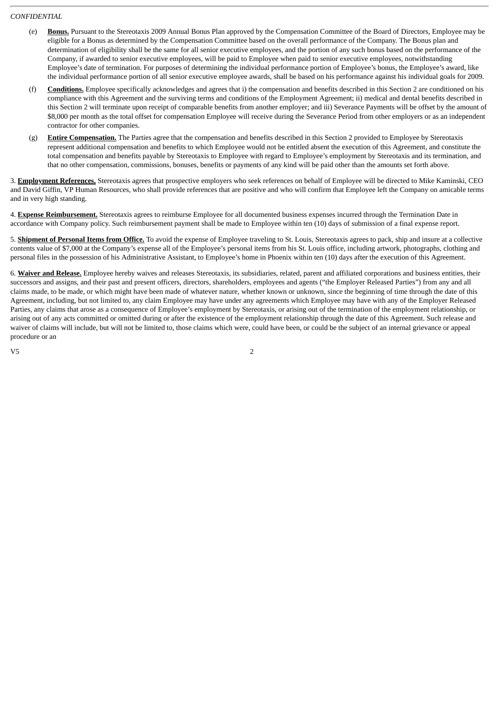- (e) **Bonus.** Pursuant to the Stereotaxis 2009 Annual Bonus Plan approved by the Compensation Committee of the Board of Directors, Employee may be eligible for a Bonus as determined by the Compensation Committee based on the overall performance of the Company. The Bonus plan and determination of eligibility shall be the same for all senior executive employees, and the portion of any such bonus based on the performance of the Company, if awarded to senior executive employees, will be paid to Employee when paid to senior executive employees, notwithstanding Employee's date of termination. For purposes of determining the individual performance portion of Employee's bonus, the Employee's award, like the individual performance portion of all senior executive employee awards, shall be based on his performance against his individual goals for 2009.
- (f) **Conditions.** Employee specifically acknowledges and agrees that i) the compensation and benefits described in this Section 2 are conditioned on his compliance with this Agreement and the surviving terms and conditions of the Employment Agreement; ii) medical and dental benefits described in this Section 2 will terminate upon receipt of comparable benefits from another employer; and iii) Severance Payments will be offset by the amount of \$8,000 per month as the total offset for compensation Employee will receive during the Severance Period from other employers or as an independent contractor for other companies.
- (g) **Entire Compensation.** The Parties agree that the compensation and benefits described in this Section 2 provided to Employee by Stereotaxis represent additional compensation and benefits to which Employee would not be entitled absent the execution of this Agreement, and constitute the total compensation and benefits payable by Stereotaxis to Employee with regard to Employee's employment by Stereotaxis and its termination, and that no other compensation, commissions, bonuses, benefits or payments of any kind will be paid other than the amounts set forth above.

3. **Employment References.** Stereotaxis agrees that prospective employers who seek references on behalf of Employee will be directed to Mike Kaminski, CEO and David Giffin, VP Human Resources, who shall provide references that are positive and who will confirm that Employee left the Company on amicable terms and in very high standing.

4. **Expense Reimbursement.** Stereotaxis agrees to reimburse Employee for all documented business expenses incurred through the Termination Date in accordance with Company policy. Such reimbursement payment shall be made to Employee within ten (10) days of submission of a final expense report.

5. **Shipment of Personal Items from Office.** To avoid the expense of Employee traveling to St. Louis, Stereotaxis agrees to pack, ship and insure at a collective contents value of \$7,000 at the Company's expense all of the Employee's personal items from his St. Louis office, including artwork, photographs, clothing and personal files in the possession of his Administrative Assistant, to Employee's home in Phoenix within ten (10) days after the execution of this Agreement.

6. **Waiver and Release.** Employee hereby waives and releases Stereotaxis, its subsidiaries, related, parent and affiliated corporations and business entities, their successors and assigns, and their past and present officers, directors, shareholders, employees and agents ("the Employer Released Parties") from any and all claims made, to be made, or which might have been made of whatever nature, whether known or unknown, since the beginning of time through the date of this Agreement, including, but not limited to, any claim Employee may have under any agreements which Employee may have with any of the Employer Released Parties, any claims that arose as a consequence of Employee's employment by Stereotaxis, or arising out of the termination of the employment relationship, or arising out of any acts committed or omitted during or after the existence of the employment relationship through the date of this Agreement. Such release and waiver of claims will include, but will not be limited to, those claims which were, could have been, or could be the subject of an internal grievance or appeal procedure or an

 $V5$  2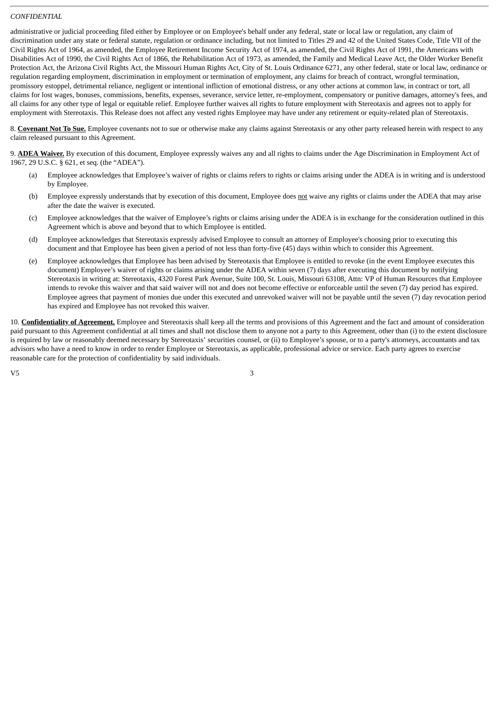administrative or judicial proceeding filed either by Employee or on Employee's behalf under any federal, state or local law or regulation, any claim of discrimination under any state or federal statute, regulation or ordinance including, but not limited to Titles 29 and 42 of the United States Code, Title VII of the Civil Rights Act of 1964, as amended, the Employee Retirement Income Security Act of 1974, as amended, the Civil Rights Act of 1991, the Americans with Disabilities Act of 1990, the Civil Rights Act of 1866, the Rehabilitation Act of 1973, as amended, the Family and Medical Leave Act, the Older Worker Benefit Protection Act, the Arizona Civil Rights Act, the Missouri Human Rights Act, City of St. Louis Ordinance 6271, any other federal, state or local law, ordinance or regulation regarding employment, discrimination in employment or termination of employment, any claims for breach of contract, wrongful termination, promissory estoppel, detrimental reliance, negligent or intentional infliction of emotional distress, or any other actions at common law, in contract or tort, all claims for lost wages, bonuses, commissions, benefits, expenses, severance, service letter, re-employment, compensatory or punitive damages, attorney's fees, and all claims for any other type of legal or equitable relief. Employee further waives all rights to future employment with Stereotaxis and agrees not to apply for employment with Stereotaxis. This Release does not affect any vested rights Employee may have under any retirement or equity-related plan of Stereotaxis.

8. **Covenant Not To Sue.** Employee covenants not to sue or otherwise make any claims against Stereotaxis or any other party released herein with respect to any claim released pursuant to this Agreement.

9. **ADEA Waiver.** By execution of this document, Employee expressly waives any and all rights to claims under the Age Discrimination in Employment Act of 1967, 29 U.S.C. § 621, et seq. (the "ADEA").

- (a) Employee acknowledges that Employee's waiver of rights or claims refers to rights or claims arising under the ADEA is in writing and is understood by Employee.
- (b) Employee expressly understands that by execution of this document, Employee does not waive any rights or claims under the ADEA that may arise after the date the waiver is executed.
- (c) Employee acknowledges that the waiver of Employee's rights or claims arising under the ADEA is in exchange for the consideration outlined in this Agreement which is above and beyond that to which Employee is entitled.
- (d) Employee acknowledges that Stereotaxis expressly advised Employee to consult an attorney of Employee's choosing prior to executing this document and that Employee has been given a period of not less than forty-five (45) days within which to consider this Agreement.
- (e) Employee acknowledges that Employee has been advised by Stereotaxis that Employee is entitled to revoke (in the event Employee executes this document) Employee's waiver of rights or claims arising under the ADEA within seven (7) days after executing this document by notifying Stereotaxis in writing at: Stereotaxis, 4320 Forest Park Avenue, Suite 100, St. Louis, Missouri 63108, Attn: VP of Human Resources that Employee intends to revoke this waiver and that said waiver will not and does not become effective or enforceable until the seven (7) day period has expired. Employee agrees that payment of monies due under this executed and unrevoked waiver will not be payable until the seven (7) day revocation period has expired and Employee has not revoked this waiver.

10. **Confidentiality of Agreement.** Employee and Stereotaxis shall keep all the terms and provisions of this Agreement and the fact and amount of consideration paid pursuant to this Agreement confidential at all times and shall not disclose them to anyone not a party to this Agreement, other than (i) to the extent disclosure is required by law or reasonably deemed necessary by Stereotaxis' securities counsel, or (ii) to Employee's spouse, or to a party's attorneys, accountants and tax advisors who have a need to know in order to render Employee or Stereotaxis, as applicable, professional advice or service. Each party agrees to exercise reasonable care for the protection of confidentiality by said individuals.

 $V5$  3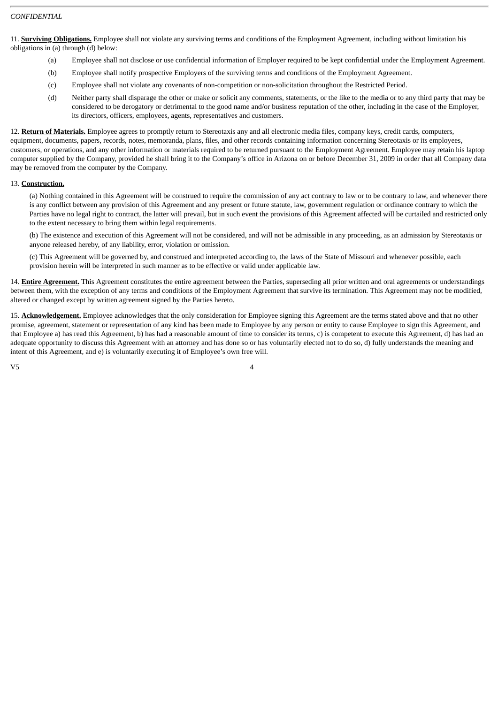11. **Surviving Obligations.** Employee shall not violate any surviving terms and conditions of the Employment Agreement, including without limitation his obligations in (a) through (d) below:

- (a) Employee shall not disclose or use confidential information of Employer required to be kept confidential under the Employment Agreement.
- (b) Employee shall notify prospective Employers of the surviving terms and conditions of the Employment Agreement.
- (c) Employee shall not violate any covenants of non-competition or non-solicitation throughout the Restricted Period.
- (d) Neither party shall disparage the other or make or solicit any comments, statements, or the like to the media or to any third party that may be considered to be derogatory or detrimental to the good name and/or business reputation of the other, including in the case of the Employer, its directors, officers, employees, agents, representatives and customers.

12. **Return of Materials.** Employee agrees to promptly return to Stereotaxis any and all electronic media files, company keys, credit cards, computers, equipment, documents, papers, records, notes, memoranda, plans, files, and other records containing information concerning Stereotaxis or its employees, customers, or operations, and any other information or materials required to be returned pursuant to the Employment Agreement. Employee may retain his laptop computer supplied by the Company, provided he shall bring it to the Company's office in Arizona on or before December 31, 2009 in order that all Company data may be removed from the computer by the Company.

## 13. **Construction.**

(a) Nothing contained in this Agreement will be construed to require the commission of any act contrary to law or to be contrary to law, and whenever there is any conflict between any provision of this Agreement and any present or future statute, law, government regulation or ordinance contrary to which the Parties have no legal right to contract, the latter will prevail, but in such event the provisions of this Agreement affected will be curtailed and restricted only to the extent necessary to bring them within legal requirements.

(b) The existence and execution of this Agreement will not be considered, and will not be admissible in any proceeding, as an admission by Stereotaxis or anyone released hereby, of any liability, error, violation or omission.

(c) This Agreement will be governed by, and construed and interpreted according to, the laws of the State of Missouri and whenever possible, each provision herein will be interpreted in such manner as to be effective or valid under applicable law.

14. **Entire Agreement.** This Agreement constitutes the entire agreement between the Parties, superseding all prior written and oral agreements or understandings between them, with the exception of any terms and conditions of the Employment Agreement that survive its termination. This Agreement may not be modified, altered or changed except by written agreement signed by the Parties hereto.

15. **Acknowledgement.** Employee acknowledges that the only consideration for Employee signing this Agreement are the terms stated above and that no other promise, agreement, statement or representation of any kind has been made to Employee by any person or entity to cause Employee to sign this Agreement, and that Employee a) has read this Agreement, b) has had a reasonable amount of time to consider its terms, c) is competent to execute this Agreement, d) has had an adequate opportunity to discuss this Agreement with an attorney and has done so or has voluntarily elected not to do so, d) fully understands the meaning and intent of this Agreement, and e) is voluntarily executing it of Employee's own free will.

 $V5$  and  $4$